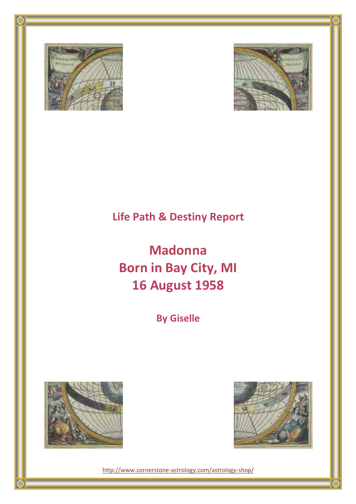



## **Life Path & Destiny Report**

# **Madonna Born in Bay City, MI 16 August 1958**

**By Giselle** 



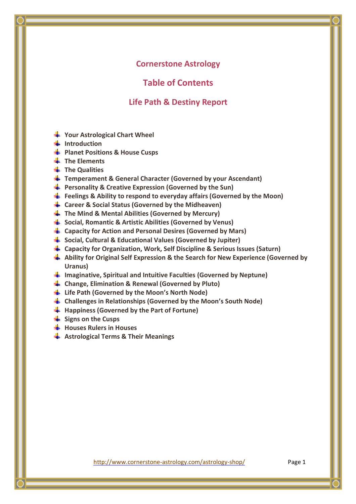### **Cornerstone Astrology**

**Table of Contents** 

### **Life Path & Destiny Report**

- **Your Astrological Chart Wheel**
- **I**utroduction
- **Planet Positions & House Cusps**
- **The Elements**
- **The Qualities**
- **Temperament & General Character (Governed by your Ascendant)**
- **Personality & Creative Expression (Governed by the Sun)**
- **Feelings & Ability to respond to everyday affairs (Governed by the Moon)**
- **Career & Social Status (Governed by the Midheaven)**
- **The Mind & Mental Abilities (Governed by Mercury)**
- **Social, Romantic & Artistic Abilities (Governed by Venus)**
- **Capacity for Action and Personal Desires (Governed by Mars)**
- **Social, Cultural & Educational Values (Governed by Jupiter)**
- **Capacity for Organization, Work, Self Discipline & Serious Issues (Saturn)**
- **Ability for Original Self Expression & the Search for New Experience (Governed by Uranus)**
- **Imaginative, Spiritual and Intuitive Faculties (Governed by Neptune)**
- **Change, Elimination & Renewal (Governed by Pluto)**
- **Life Path (Governed by the Moon's North Node)**
- **Challenges in Relationships (Governed by the Moon's South Node)**
- **Happiness (Governed by the Part of Fortune)**
- **Example 2** Signs on the Cusps
- **Houses Rulers in Houses**
- **Astrological Terms & Their Meanings**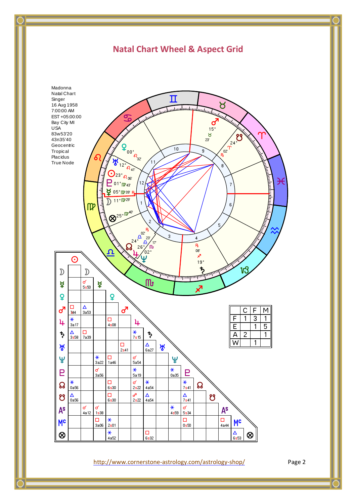

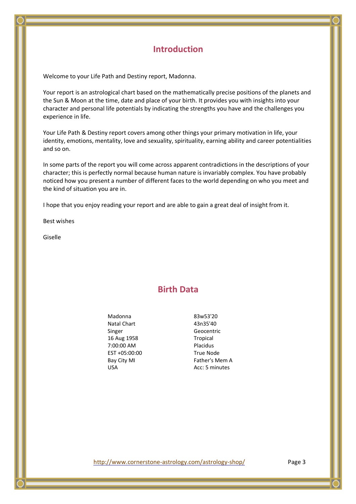### **Introduction**

Welcome to your Life Path and Destiny report, Madonna.

Your report is an astrological chart based on the mathematically precise positions of the planets and the Sun & Moon at the time, date and place of your birth. It provides you with insights into your character and personal life potentials by indicating the strengths you have and the challenges you experience in life.

Your Life Path & Destiny report covers among other things your primary motivation in life, your identity, emotions, mentality, love and sexuality, spirituality, earning ability and career potentialities and so on.

In some parts of the report you will come across apparent contradictions in the descriptions of your character; this is perfectly normal because human nature is invariably complex. You have probably noticed how you present a number of different faces to the world depending on who you meet and the kind of situation you are in.

I hope that you enjoy reading your report and are able to gain a great deal of insight from it.

Best wishes

Giselle

### **Birth Data**

Natal Chart 43n35'40 Singer Geocentric 16 Aug 1958 Tropical 7:00:00 AM Placidus EST +05:00:00 True Node

Madonna 83w53'20 Bay City MI Father's Mem A USA CC: 5 minutes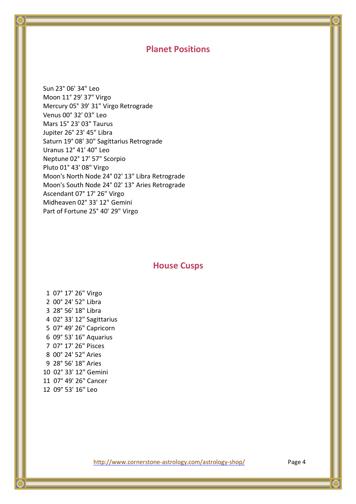### **Planet Positions**

Sun 23° 06' 34" Leo Moon 11° 29' 37" Virgo Mercury 05° 39' 31" Virgo Retrograde Venus 00° 32' 03" Leo Mars 15° 23' 03" Taurus Jupiter 26° 23' 45" Libra Saturn 19° 08' 30" Sagittarius Retrograde Uranus 12° 41' 40" Leo Neptune 02° 17' 57" Scorpio Pluto 01° 43' 08" Virgo Moon's North Node 24° 02' 13" Libra Retrograde Moon's South Node 24° 02' 13" Aries Retrograde Ascendant 07° 17' 26" Virgo Midheaven 02° 33' 12" Gemini Part of Fortune 25° 40' 29" Virgo

### **House Cusps**

 1 07° 17' 26" Virgo 2 00° 24' 52" Libra 3 28° 56' 18" Libra 4 02° 33' 12" Sagittarius 5 07° 49' 26" Capricorn 6 09° 53' 16" Aquarius 7 07° 17' 26" Pisces 8 00° 24' 52" Aries 9 28° 56' 18" Aries 10 02° 33' 12" Gemini 11 07° 49' 26" Cancer 12 09° 53' 16" Leo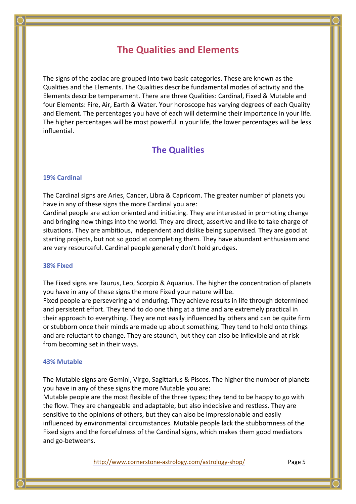## **The Qualities and Elements**

The signs of the zodiac are grouped into two basic categories. These are known as the Qualities and the Elements. The Qualities describe fundamental modes of activity and the Elements describe temperament. There are three Qualities: Cardinal, Fixed & Mutable and four Elements: Fire, Air, Earth & Water. Your horoscope has varying degrees of each Quality and Element. The percentages you have of each will determine their importance in your life. The higher percentages will be most powerful in your life, the lower percentages will be less influential.

## **The Qualities**

#### **19% Cardinal**

The Cardinal signs are Aries, Cancer, Libra & Capricorn. The greater number of planets you have in any of these signs the more Cardinal you are:

Cardinal people are action oriented and initiating. They are interested in promoting change and bringing new things into the world. They are direct, assertive and like to take charge of situations. They are ambitious, independent and dislike being supervised. They are good at starting projects, but not so good at completing them. They have abundant enthusiasm and are very resourceful. Cardinal people generally don't hold grudges.

#### **38% Fixed**

The Fixed signs are Taurus, Leo, Scorpio & Aquarius. The higher the concentration of planets you have in any of these signs the more Fixed your nature will be.

Fixed people are persevering and enduring. They achieve results in life through determined and persistent effort. They tend to do one thing at a time and are extremely practical in their approach to everything. They are not easily influenced by others and can be quite firm or stubborn once their minds are made up about something. They tend to hold onto things and are reluctant to change. They are staunch, but they can also be inflexible and at risk from becoming set in their ways.

#### **43% Mutable**

The Mutable signs are Gemini, Virgo, Sagittarius & Pisces. The higher the number of planets you have in any of these signs the more Mutable you are:

Mutable people are the most flexible of the three types; they tend to be happy to go with the flow. They are changeable and adaptable, but also indecisive and restless. They are sensitive to the opinions of others, but they can also be impressionable and easily influenced by environmental circumstances. Mutable people lack the stubbornness of the Fixed signs and the forcefulness of the Cardinal signs, which makes them good mediators and go-betweens.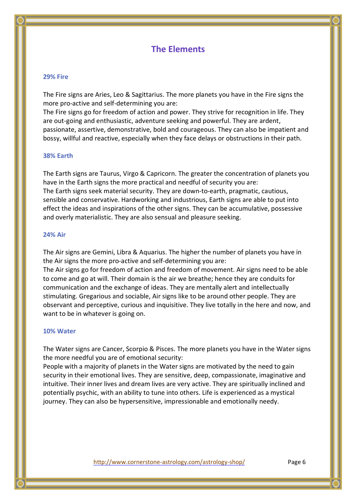### **The Elements**

#### **29% Fire**

The Fire signs are Aries, Leo & Sagittarius. The more planets you have in the Fire signs the more pro-active and self-determining you are:

The Fire signs go for freedom of action and power. They strive for recognition in life. They are out-going and enthusiastic, adventure seeking and powerful. They are ardent, passionate, assertive, demonstrative, bold and courageous. They can also be impatient and bossy, willful and reactive, especially when they face delays or obstructions in their path.

#### **38% Earth**

The Earth signs are Taurus, Virgo & Capricorn. The greater the concentration of planets you have in the Earth signs the more practical and needful of security you are: The Earth signs seek material security. They are down-to-earth, pragmatic, cautious, sensible and conservative. Hardworking and industrious, Earth signs are able to put into effect the ideas and inspirations of the other signs. They can be accumulative, possessive and overly materialistic. They are also sensual and pleasure seeking.

#### **24% Air**

The Air signs are Gemini, Libra & Aquarius. The higher the number of planets you have in the Air signs the more pro-active and self-determining you are:

The Air signs go for freedom of action and freedom of movement. Air signs need to be able to come and go at will. Their domain is the air we breathe; hence they are conduits for communication and the exchange of ideas. They are mentally alert and intellectually stimulating. Gregarious and sociable, Air signs like to be around other people. They are observant and perceptive, curious and inquisitive. They live totally in the here and now, and want to be in whatever is going on.

#### **10% Water**

The Water signs are Cancer, Scorpio & Pisces. The more planets you have in the Water signs the more needful you are of emotional security:

People with a majority of planets in the Water signs are motivated by the need to gain security in their emotional lives. They are sensitive, deep, compassionate, imaginative and intuitive. Their inner lives and dream lives are very active. They are spiritually inclined and potentially psychic, with an ability to tune into others. Life is experienced as a mystical journey. They can also be hypersensitive, impressionable and emotionally needy.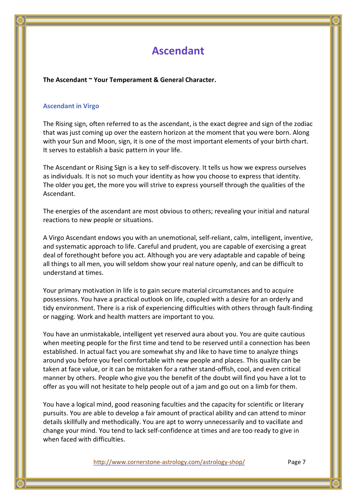## **Ascendant**

**The Ascendant ~ Your Temperament & General Character.**

#### **Ascendant in Virgo**

The Rising sign, often referred to as the ascendant, is the exact degree and sign of the zodiac that was just coming up over the eastern horizon at the moment that you were born. Along with your Sun and Moon, sign, it is one of the most important elements of your birth chart. It serves to establish a basic pattern in your life.

The Ascendant or Rising Sign is a key to self-discovery. It tells us how we express ourselves as individuals. It is not so much your identity as how you choose to express that identity. The older you get, the more you will strive to express yourself through the qualities of the Ascendant.

The energies of the ascendant are most obvious to others; revealing your initial and natural reactions to new people or situations.

A Virgo Ascendant endows you with an unemotional, self-reliant, calm, intelligent, inventive, and systematic approach to life. Careful and prudent, you are capable of exercising a great deal of forethought before you act. Although you are very adaptable and capable of being all things to all men, you will seldom show your real nature openly, and can be difficult to understand at times.

Your primary motivation in life is to gain secure material circumstances and to acquire possessions. You have a practical outlook on life, coupled with a desire for an orderly and tidy environment. There is a risk of experiencing difficulties with others through fault-finding or nagging. Work and health matters are important to you.

You have an unmistakable, intelligent yet reserved aura about you. You are quite cautious when meeting people for the first time and tend to be reserved until a connection has been established. In actual fact you are somewhat shy and like to have time to analyze things around you before you feel comfortable with new people and places. This quality can be taken at face value, or it can be mistaken for a rather stand-offish, cool, and even critical manner by others. People who give you the benefit of the doubt will find you have a lot to offer as you will not hesitate to help people out of a jam and go out on a limb for them.

You have a logical mind, good reasoning faculties and the capacity for scientific or literary pursuits. You are able to develop a fair amount of practical ability and can attend to minor details skillfully and methodically. You are apt to worry unnecessarily and to vacillate and change your mind. You tend to lack self-confidence at times and are too ready to give in when faced with difficulties.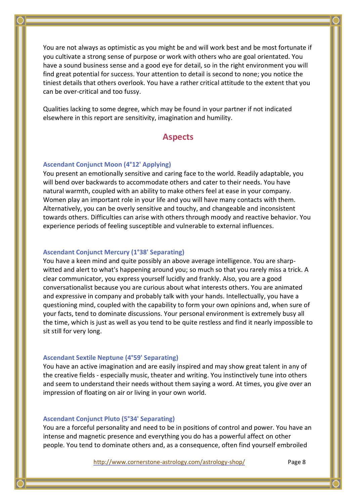You are not always as optimistic as you might be and will work best and be most fortunate if you cultivate a strong sense of purpose or work with others who are goal orientated. You have a sound business sense and a good eye for detail, so in the right environment you will find great potential for success. Your attention to detail is second to none; you notice the tiniest details that others overlook. You have a rather critical attitude to the extent that you can be over-critical and too fussy.

Qualities lacking to some degree, which may be found in your partner if not indicated elsewhere in this report are sensitivity, imagination and humility.

### **Aspects**

#### **Ascendant Conjunct Moon (4°12' Applying)**

You present an emotionally sensitive and caring face to the world. Readily adaptable, you will bend over backwards to accommodate others and cater to their needs. You have natural warmth, coupled with an ability to make others feel at ease in your company. Women play an important role in your life and you will have many contacts with them. Alternatively, you can be overly sensitive and touchy, and changeable and inconsistent towards others. Difficulties can arise with others through moody and reactive behavior. You experience periods of feeling susceptible and vulnerable to external influences.

#### **Ascendant Conjunct Mercury (1°38' Separating)**

You have a keen mind and quite possibly an above average intelligence. You are sharpwitted and alert to what's happening around you; so much so that you rarely miss a trick. A clear communicator, you express yourself lucidly and frankly. Also, you are a good conversationalist because you are curious about what interests others. You are animated and expressive in company and probably talk with your hands. Intellectually, you have a questioning mind, coupled with the capability to form your own opinions and, when sure of your facts, tend to dominate discussions. Your personal environment is extremely busy all the time, which is just as well as you tend to be quite restless and find it nearly impossible to sit still for very long.

#### **Ascendant Sextile Neptune (4°59' Separating)**

You have an active imagination and are easily inspired and may show great talent in any of the creative fields - especially music, theater and writing. You instinctively tune into others and seem to understand their needs without them saying a word. At times, you give over an impression of floating on air or living in your own world.

#### **Ascendant Conjunct Pluto (5°34' Separating)**

You are a forceful personality and need to be in positions of control and power. You have an intense and magnetic presence and everything you do has a powerful affect on other people. You tend to dominate others and, as a consequence, often find yourself embroiled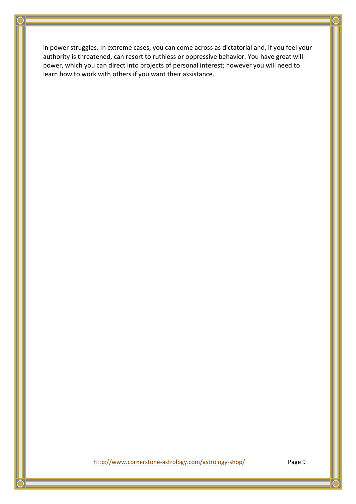in power struggles. In extreme cases, you can come across as dictatorial and, if you feel your authority is threatened, can resort to ruthless or oppressive behavior. You have great willpower, which you can direct into projects of personal interest; however you will need to learn how to work with others if you want their assistance.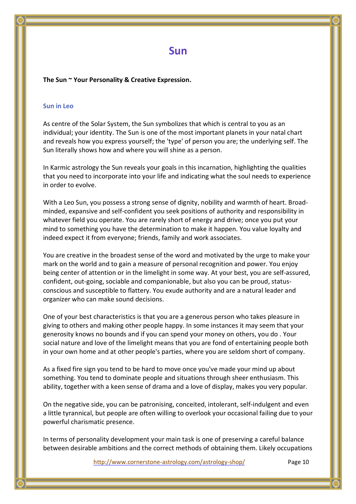## **Sun**

#### **The Sun ~ Your Personality & Creative Expression.**

#### **Sun in Leo**

As centre of the Solar System, the Sun symbolizes that which is central to you as an individual; your identity. The Sun is one of the most important planets in your natal chart and reveals how you express yourself; the 'type' of person you are; the underlying self. The Sun literally shows how and where you will shine as a person.

In Karmic astrology the Sun reveals your goals in this incarnation, highlighting the qualities that you need to incorporate into your life and indicating what the soul needs to experience in order to evolve.

With a Leo Sun, you possess a strong sense of dignity, nobility and warmth of heart. Broadminded, expansive and self-confident you seek positions of authority and responsibility in whatever field you operate. You are rarely short of energy and drive; once you put your mind to something you have the determination to make it happen. You value loyalty and indeed expect it from everyone; friends, family and work associates.

You are creative in the broadest sense of the word and motivated by the urge to make your mark on the world and to gain a measure of personal recognition and power. You enjoy being center of attention or in the limelight in some way. At your best, you are self-assured, confident, out-going, sociable and companionable, but also you can be proud, statusconscious and susceptible to flattery. You exude authority and are a natural leader and organizer who can make sound decisions.

One of your best characteristics is that you are a generous person who takes pleasure in giving to others and making other people happy. In some instances it may seem that your generosity knows no bounds and if you can spend your money on others, you do . Your social nature and love of the limelight means that you are fond of entertaining people both in your own home and at other people's parties, where you are seldom short of company.

As a fixed fire sign you tend to be hard to move once you've made your mind up about something. You tend to dominate people and situations through sheer enthusiasm. This ability, together with a keen sense of drama and a love of display, makes you very popular.

On the negative side, you can be patronising, conceited, intolerant, self-indulgent and even a little tyrannical, but people are often willing to overlook your occasional failing due to your powerful charismatic presence.

In terms of personality development your main task is one of preserving a careful balance between desirable ambitions and the correct methods of obtaining them. Likely occupations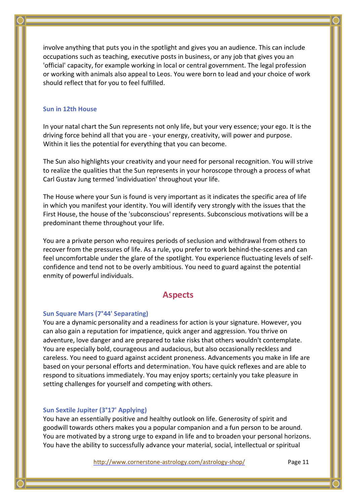involve anything that puts you in the spotlight and gives you an audience. This can include occupations such as teaching, executive posts in business, or any job that gives you an 'official' capacity, for example working in local or central government. The legal profession or working with animals also appeal to Leos. You were born to lead and your choice of work should reflect that for you to feel fulfilled.

#### **Sun in 12th House**

In your natal chart the Sun represents not only life, but your very essence; your ego. It is the driving force behind all that you are - your energy, creativity, will power and purpose. Within it lies the potential for everything that you can become.

The Sun also highlights your creativity and your need for personal recognition. You will strive to realize the qualities that the Sun represents in your horoscope through a process of what Carl Gustav Jung termed 'individuation' throughout your life.

The House where your Sun is found is very important as it indicates the specific area of life in which you manifest your identity. You will identify very strongly with the issues that the First House, the house of the 'subconscious' represents. Subconscious motivations will be a predominant theme throughout your life.

You are a private person who requires periods of seclusion and withdrawal from others to recover from the pressures of life. As a rule, you prefer to work behind-the-scenes and can feel uncomfortable under the glare of the spotlight. You experience fluctuating levels of selfconfidence and tend not to be overly ambitious. You need to guard against the potential enmity of powerful individuals.

### **Aspects**

#### **Sun Square Mars (7°44' Separating)**

You are a dynamic personality and a readiness for action is your signature. However, you can also gain a reputation for impatience, quick anger and aggression. You thrive on adventure, love danger and are prepared to take risks that others wouldn't contemplate. You are especially bold, courageous and audacious, but also occasionally reckless and careless. You need to guard against accident proneness. Advancements you make in life are based on your personal efforts and determination. You have quick reflexes and are able to respond to situations immediately. You may enjoy sports; certainly you take pleasure in setting challenges for yourself and competing with others.

#### **Sun Sextile Jupiter (3°17' Applying)**

You have an essentially positive and healthy outlook on life. Generosity of spirit and goodwill towards others makes you a popular companion and a fun person to be around. You are motivated by a strong urge to expand in life and to broaden your personal horizons. You have the ability to successfully advance your material, social, intellectual or spiritual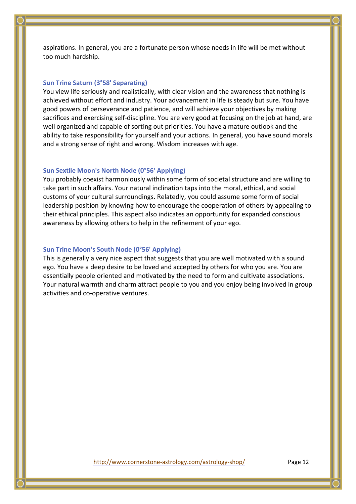aspirations. In general, you are a fortunate person whose needs in life will be met without too much hardship.

#### **Sun Trine Saturn (3°58' Separating)**

You view life seriously and realistically, with clear vision and the awareness that nothing is achieved without effort and industry. Your advancement in life is steady but sure. You have good powers of perseverance and patience, and will achieve your objectives by making sacrifices and exercising self-discipline. You are very good at focusing on the job at hand, are well organized and capable of sorting out priorities. You have a mature outlook and the ability to take responsibility for yourself and your actions. In general, you have sound morals and a strong sense of right and wrong. Wisdom increases with age.

#### **Sun Sextile Moon's North Node (0°56' Applying)**

You probably coexist harmoniously within some form of societal structure and are willing to take part in such affairs. Your natural inclination taps into the moral, ethical, and social customs of your cultural surroundings. Relatedly, you could assume some form of social leadership position by knowing how to encourage the cooperation of others by appealing to their ethical principles. This aspect also indicates an opportunity for expanded conscious awareness by allowing others to help in the refinement of your ego.

#### **Sun Trine Moon's South Node (0°56' Applying)**

This is generally a very nice aspect that suggests that you are well motivated with a sound ego. You have a deep desire to be loved and accepted by others for who you are. You are essentially people oriented and motivated by the need to form and cultivate associations. Your natural warmth and charm attract people to you and you enjoy being involved in group activities and co-operative ventures.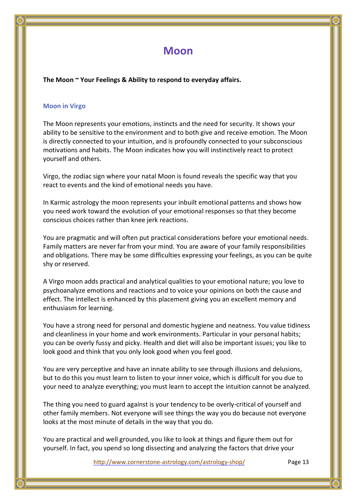## **Moon**

**The Moon ~ Your Feelings & Ability to respond to everyday affairs.**

#### **Moon in Virgo**

The Moon represents your emotions, instincts and the need for security. It shows your ability to be sensitive to the environment and to both give and receive emotion. The Moon is directly connected to your intuition, and is profoundly connected to your subconscious motivations and habits. The Moon indicates how you will instinctively react to protect yourself and others.

Virgo, the zodiac sign where your natal Moon is found reveals the specific way that you react to events and the kind of emotional needs you have.

In Karmic astrology the moon represents your inbuilt emotional patterns and shows how you need work toward the evolution of your emotional responses so that they become conscious choices rather than knee jerk reactions.

You are pragmatic and will often put practical considerations before your emotional needs. Family matters are never far from your mind. You are aware of your family responsibilities and obligations. There may be some difficulties expressing your feelings, as you can be quite shy or reserved.

A Virgo moon adds practical and analytical qualities to your emotional nature; you love to psychoanalyze emotions and reactions and to voice your opinions on both the cause and effect. The intellect is enhanced by this placement giving you an excellent memory and enthusiasm for learning.

You have a strong need for personal and domestic hygiene and neatness. You value tidiness and cleanliness in your home and work environments. Particular in your personal habits; you can be overly fussy and picky. Health and diet will also be important issues; you like to look good and think that you only look good when you feel good.

You are very perceptive and have an innate ability to see through illusions and delusions, but to do this you must learn to listen to your inner voice, which is difficult for you due to your need to analyze everything; you must learn to accept the intuition cannot be analyzed.

The thing you need to guard against is your tendency to be overly-critical of yourself and other family members. Not everyone will see things the way you do because not everyone looks at the most minute of details in the way that you do.

You are practical and well grounded, you like to look at things and figure them out for yourself. In fact, you spend so long dissecting and analyzing the factors that drive your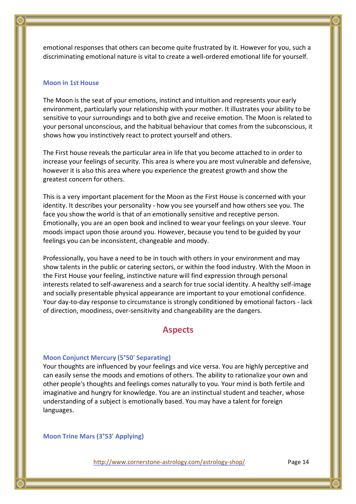emotional responses that others can become quite frustrated by it. However for you, such a discriminating emotional nature is vital to create a well-ordered emotional life for yourself.

#### **Moon in 1st House**

The Moon is the seat of your emotions, instinct and intuition and represents your early environment, particularly your relationship with your mother. It illustrates your ability to be sensitive to your surroundings and to both give and receive emotion. The Moon is related to your personal unconscious, and the habitual behaviour that comes from the subconscious, it shows how you instinctively react to protect yourself and others.

The First house reveals the particular area in life that you become attached to in order to increase your feelings of security. This area is where you are most vulnerable and defensive, however it is also this area where you experience the greatest growth and show the greatest concern for others.

This is a very important placement for the Moon as the First House is concerned with your identity. It describes your personality - how you see yourself and how others see you. The face you show the world is that of an emotionally sensitive and receptive person. Emotionally, you are an open book and inclined to wear your feelings on your sleeve. Your moods impact upon those around you. However, because you tend to be guided by your feelings you can be inconsistent, changeable and moody.

Professionally, you have a need to be in touch with others in your environment and may show talents in the public or catering sectors, or within the food industry. With the Moon in the First House your feeling, instinctive nature will find expression through personal interests related to self-awareness and a search for true social identity. A healthy self-image and socially presentable physical appearance are important to your emotional confidence. Your day-to-day response to circumstance is strongly conditioned by emotional factors - lack of direction, moodiness, over-sensitivity and changeability are the dangers.

### **Aspects**

#### **Moon Conjunct Mercury (5°50' Separating)**

Your thoughts are influenced by your feelings and vice versa. You are highly perceptive and can easily sense the moods and emotions of others. The ability to rationalize your own and other people's thoughts and feelings comes naturally to you. Your mind is both fertile and imaginative and hungry for knowledge. You are an instinctual student and teacher, whose understanding of a subject is emotionally based. You may have a talent for foreign languages.

#### **Moon Trine Mars (3°53' Applying)**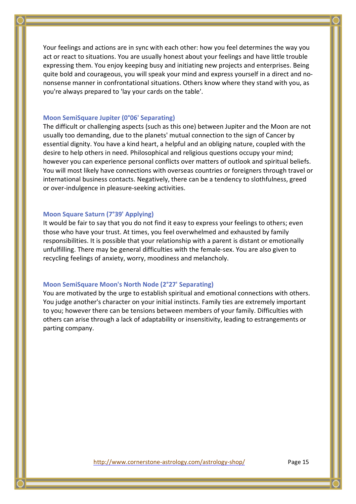Your feelings and actions are in sync with each other: how you feel determines the way you act or react to situations. You are usually honest about your feelings and have little trouble expressing them. You enjoy keeping busy and initiating new projects and enterprises. Being quite bold and courageous, you will speak your mind and express yourself in a direct and nononsense manner in confrontational situations. Others know where they stand with you, as you're always prepared to 'lay your cards on the table'.

#### **Moon SemiSquare Jupiter (0°06' Separating)**

The difficult or challenging aspects (such as this one) between Jupiter and the Moon are not usually too demanding, due to the planets' mutual connection to the sign of Cancer by essential dignity. You have a kind heart, a helpful and an obliging nature, coupled with the desire to help others in need. Philosophical and religious questions occupy your mind; however you can experience personal conflicts over matters of outlook and spiritual beliefs. You will most likely have connections with overseas countries or foreigners through travel or international business contacts. Negatively, there can be a tendency to slothfulness, greed or over-indulgence in pleasure-seeking activities.

#### **Moon Square Saturn (7°39' Applying)**

It would be fair to say that you do not find it easy to express your feelings to others; even those who have your trust. At times, you feel overwhelmed and exhausted by family responsibilities. It is possible that your relationship with a parent is distant or emotionally unfulfilling. There may be general difficulties with the female-sex. You are also given to recycling feelings of anxiety, worry, moodiness and melancholy.

#### **Moon SemiSquare Moon's North Node (2°27' Separating)**

You are motivated by the urge to establish spiritual and emotional connections with others. You judge another's character on your initial instincts. Family ties are extremely important to you; however there can be tensions between members of your family. Difficulties with others can arise through a lack of adaptability or insensitivity, leading to estrangements or parting company.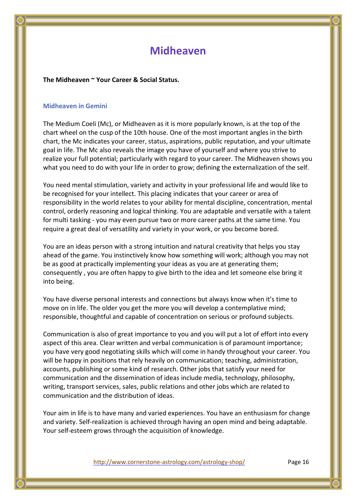## **Midheaven**

#### **The Midheaven ~ Your Career & Social Status.**

#### **Midheaven in Gemini**

The Medium Coeli (Mc), or Midheaven as it is more popularly known, is at the top of the chart wheel on the cusp of the 10th house. One of the most important angles in the birth chart, the Mc indicates your career, status, aspirations, public reputation, and your ultimate goal in life. The Mc also reveals the image you have of yourself and where you strive to realize your full potential; particularly with regard to your career. The Midheaven shows you what you need to do with your life in order to grow; defining the externalization of the self.

You need mental stimulation, variety and activity in your professional life and would like to be recognised for your intellect. This placing indicates that your career or area of responsibility in the world relates to your ability for mental discipline, concentration, mental control, orderly reasoning and logical thinking. You are adaptable and versatile with a talent for multi tasking - you may even pursue two or more career paths at the same time. You require a great deal of versatility and variety in your work, or you become bored.

You are an ideas person with a strong intuition and natural creativity that helps you stay ahead of the game. You instinctively know how something will work; although you may not be as good at practically implementing your ideas as you are at generating them; consequently , you are often happy to give birth to the idea and let someone else bring it into being.

You have diverse personal interests and connections but always know when it's time to move on in life. The older you get the more you will develop a contemplative mind; responsible, thoughtful and capable of concentration on serious or profound subjects.

Communication is also of great importance to you and you will put a lot of effort into every aspect of this area. Clear written and verbal communication is of paramount importance; you have very good negotiating skills which will come in handy throughout your career. You will be happy in positions that rely heavily on communication; teaching, administration, accounts, publishing or some kind of research. Other jobs that satisfy your need for communication and the dissemination of ideas include media, technology, philosophy, writing, transport services, sales, public relations and other jobs which are related to communication and the distribution of ideas.

Your aim in life is to have many and varied experiences. You have an enthusiasm for change and variety. Self-realization is achieved through having an open mind and being adaptable. Your self-esteem grows through the acquisition of knowledge.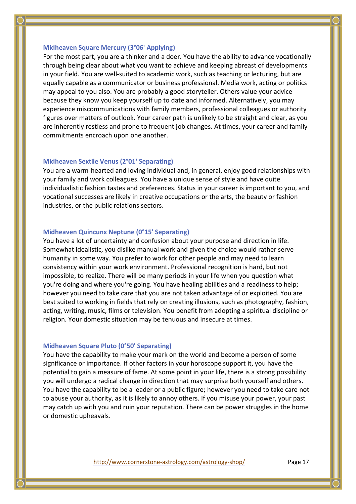#### **Midheaven Square Mercury (3°06' Applying)**

For the most part, you are a thinker and a doer. You have the ability to advance vocationally through being clear about what you want to achieve and keeping abreast of developments in your field. You are well-suited to academic work, such as teaching or lecturing, but are equally capable as a communicator or business professional. Media work, acting or politics may appeal to you also. You are probably a good storyteller. Others value your advice because they know you keep yourself up to date and informed. Alternatively, you may experience miscommunications with family members, professional colleagues or authority figures over matters of outlook. Your career path is unlikely to be straight and clear, as you are inherently restless and prone to frequent job changes. At times, your career and family commitments encroach upon one another.

#### **Midheaven Sextile Venus (2°01' Separating)**

You are a warm-hearted and loving individual and, in general, enjoy good relationships with your family and work colleagues. You have a unique sense of style and have quite individualistic fashion tastes and preferences. Status in your career is important to you, and vocational successes are likely in creative occupations or the arts, the beauty or fashion industries, or the public relations sectors.

#### **Midheaven Quincunx Neptune (0°15' Separating)**

You have a lot of uncertainty and confusion about your purpose and direction in life. Somewhat idealistic, you dislike manual work and given the choice would rather serve humanity in some way. You prefer to work for other people and may need to learn consistency within your work environment. Professional recognition is hard, but not impossible, to realize. There will be many periods in your life when you question what you're doing and where you're going. You have healing abilities and a readiness to help; however you need to take care that you are not taken advantage of or exploited. You are best suited to working in fields that rely on creating illusions, such as photography, fashion, acting, writing, music, films or television. You benefit from adopting a spiritual discipline or religion. Your domestic situation may be tenuous and insecure at times.

#### **Midheaven Square Pluto (0°50' Separating)**

You have the capability to make your mark on the world and become a person of some significance or importance. If other factors in your horoscope support it, you have the potential to gain a measure of fame. At some point in your life, there is a strong possibility you will undergo a radical change in direction that may surprise both yourself and others. You have the capability to be a leader or a public figure; however you need to take care not to abuse your authority, as it is likely to annoy others. If you misuse your power, your past may catch up with you and ruin your reputation. There can be power struggles in the home or domestic upheavals.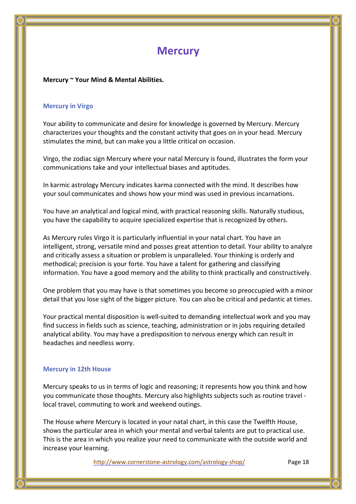## **Mercury**

#### **Mercury ~ Your Mind & Mental Abilities.**

#### **Mercury in Virgo**

Your ability to communicate and desire for knowledge is governed by Mercury. Mercury characterizes your thoughts and the constant activity that goes on in your head. Mercury stimulates the mind, but can make you a little critical on occasion.

Virgo, the zodiac sign Mercury where your natal Mercury is found, illustrates the form your communications take and your intellectual biases and aptitudes.

In karmic astrology Mercury indicates karma connected with the mind. It describes how your soul communicates and shows how your mind was used in previous incarnations.

You have an analytical and logical mind, with practical reasoning skills. Naturally studious, you have the capability to acquire specialized expertise that is recognized by others.

As Mercury rules Virgo it is particularly influential in your natal chart. You have an intelligent, strong, versatile mind and posses great attention to detail. Your ability to analyze and critically assess a situation or problem is unparalleled. Your thinking is orderly and methodical; precision is your forte. You have a talent for gathering and classifying information. You have a good memory and the ability to think practically and constructively.

One problem that you may have is that sometimes you become so preoccupied with a minor detail that you lose sight of the bigger picture. You can also be critical and pedantic at times.

Your practical mental disposition is well-suited to demanding intellectual work and you may find success in fields such as science, teaching, administration or in jobs requiring detailed analytical ability. You may have a predisposition to nervous energy which can result in headaches and needless worry.

#### **Mercury in 12th House**

Mercury speaks to us in terms of logic and reasoning; it represents how you think and how you communicate those thoughts. Mercury also highlights subjects such as routine travel local travel, commuting to work and weekend outings.

The House where Mercury is located in your natal chart, in this case the Twelfth House, shows the particular area in which your mental and verbal talents are put to practical use. This is the area in which you realize your need to communicate with the outside world and increase your learning.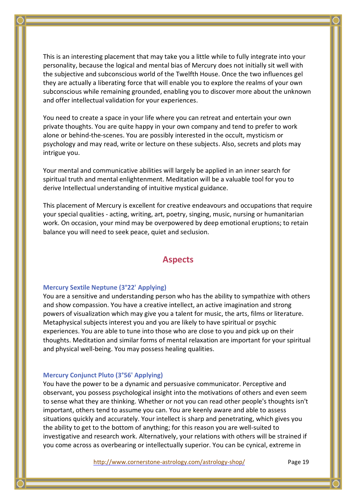This is an interesting placement that may take you a little while to fully integrate into your personality, because the logical and mental bias of Mercury does not initially sit well with the subjective and subconscious world of the Twelfth House. Once the two influences gel they are actually a liberating force that will enable you to explore the realms of your own subconscious while remaining grounded, enabling you to discover more about the unknown and offer intellectual validation for your experiences.

You need to create a space in your life where you can retreat and entertain your own private thoughts. You are quite happy in your own company and tend to prefer to work alone or behind-the-scenes. You are possibly interested in the occult, mysticism or psychology and may read, write or lecture on these subjects. Also, secrets and plots may intrigue you.

Your mental and communicative abilities will largely be applied in an inner search for spiritual truth and mental enlightenment. Meditation will be a valuable tool for you to derive Intellectual understanding of intuitive mystical guidance.

This placement of Mercury is excellent for creative endeavours and occupations that require your special qualities - acting, writing, art, poetry, singing, music, nursing or humanitarian work. On occasion, your mind may be overpowered by deep emotional eruptions; to retain balance you will need to seek peace, quiet and seclusion.

### **Aspects**

#### **Mercury Sextile Neptune (3°22' Applying)**

You are a sensitive and understanding person who has the ability to sympathize with others and show compassion. You have a creative intellect, an active imagination and strong powers of visualization which may give you a talent for music, the arts, films or literature. Metaphysical subjects interest you and you are likely to have spiritual or psychic experiences. You are able to tune into those who are close to you and pick up on their thoughts. Meditation and similar forms of mental relaxation are important for your spiritual and physical well-being. You may possess healing qualities.

#### **Mercury Conjunct Pluto (3°56' Applying)**

You have the power to be a dynamic and persuasive communicator. Perceptive and observant, you possess psychological insight into the motivations of others and even seem to sense what they are thinking. Whether or not you can read other people's thoughts isn't important, others tend to assume you can. You are keenly aware and able to assess situations quickly and accurately. Your intellect is sharp and penetrating, which gives you the ability to get to the bottom of anything; for this reason you are well-suited to investigative and research work. Alternatively, your relations with others will be strained if you come across as overbearing or intellectually superior. You can be cynical, extreme in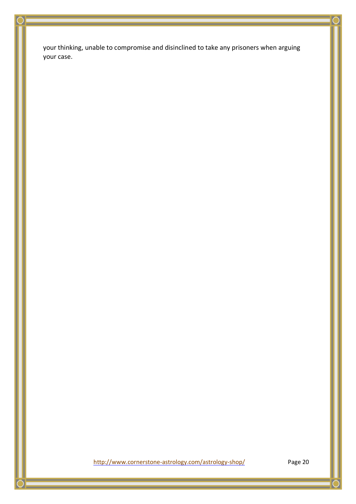your thinking, unable to compromise and disinclined to take any prisoners when arguing your case.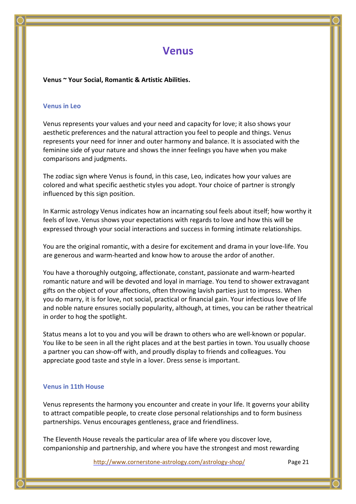## **Venus**

**Venus ~ Your Social, Romantic & Artistic Abilities.**

#### **Venus in Leo**

Venus represents your values and your need and capacity for love; it also shows your aesthetic preferences and the natural attraction you feel to people and things. Venus represents your need for inner and outer harmony and balance. It is associated with the feminine side of your nature and shows the inner feelings you have when you make comparisons and judgments.

The zodiac sign where Venus is found, in this case, Leo, indicates how your values are colored and what specific aesthetic styles you adopt. Your choice of partner is strongly influenced by this sign position.

In Karmic astrology Venus indicates how an incarnating soul feels about itself; how worthy it feels of love. Venus shows your expectations with regards to love and how this will be expressed through your social interactions and success in forming intimate relationships.

You are the original romantic, with a desire for excitement and drama in your love-life. You are generous and warm-hearted and know how to arouse the ardor of another.

You have a thoroughly outgoing, affectionate, constant, passionate and warm-hearted romantic nature and will be devoted and loyal in marriage. You tend to shower extravagant gifts on the object of your affections, often throwing lavish parties just to impress. When you do marry, it is for love, not social, practical or financial gain. Your infectious love of life and noble nature ensures socially popularity, although, at times, you can be rather theatrical in order to hog the spotlight.

Status means a lot to you and you will be drawn to others who are well-known or popular. You like to be seen in all the right places and at the best parties in town. You usually choose a partner you can show-off with, and proudly display to friends and colleagues. You appreciate good taste and style in a lover. Dress sense is important.

#### **Venus in 11th House**

Venus represents the harmony you encounter and create in your life. It governs your ability to attract compatible people, to create close personal relationships and to form business partnerships. Venus encourages gentleness, grace and friendliness.

The Eleventh House reveals the particular area of life where you discover love, companionship and partnership, and where you have the strongest and most rewarding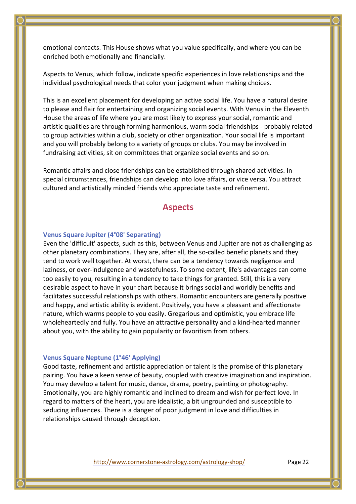emotional contacts. This House shows what you value specifically, and where you can be enriched both emotionally and financially.

Aspects to Venus, which follow, indicate specific experiences in love relationships and the individual psychological needs that color your judgment when making choices.

This is an excellent placement for developing an active social life. You have a natural desire to please and flair for entertaining and organizing social events. With Venus in the Eleventh House the areas of life where you are most likely to express your social, romantic and artistic qualities are through forming harmonious, warm social friendships - probably related to group activities within a club, society or other organization. Your social life is important and you will probably belong to a variety of groups or clubs. You may be involved in fundraising activities, sit on committees that organize social events and so on.

Romantic affairs and close friendships can be established through shared activities. In special circumstances, friendships can develop into love affairs, or vice versa. You attract cultured and artistically minded friends who appreciate taste and refinement.

### **Aspects**

#### **Venus Square Jupiter (4°08' Separating)**

Even the 'difficult' aspects, such as this, between Venus and Jupiter are not as challenging as other planetary combinations. They are, after all, the so-called benefic planets and they tend to work well together. At worst, there can be a tendency towards negligence and laziness, or over-indulgence and wastefulness. To some extent, life's advantages can come too easily to you, resulting in a tendency to take things for granted. Still, this is a very desirable aspect to have in your chart because it brings social and worldly benefits and facilitates successful relationships with others. Romantic encounters are generally positive and happy, and artistic ability is evident. Positively, you have a pleasant and affectionate nature, which warms people to you easily. Gregarious and optimistic, you embrace life wholeheartedly and fully. You have an attractive personality and a kind-hearted manner about you, with the ability to gain popularity or favoritism from others.

#### **Venus Square Neptune (1°46' Applying)**

Good taste, refinement and artistic appreciation or talent is the promise of this planetary pairing. You have a keen sense of beauty, coupled with creative imagination and inspiration. You may develop a talent for music, dance, drama, poetry, painting or photography. Emotionally, you are highly romantic and inclined to dream and wish for perfect love. In regard to matters of the heart, you are idealistic, a bit ungrounded and susceptible to seducing influences. There is a danger of poor judgment in love and difficulties in relationships caused through deception.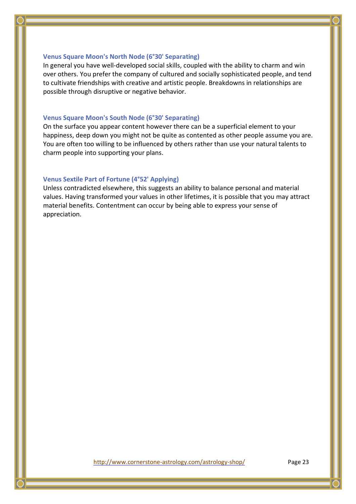#### **Venus Square Moon's North Node (6°30' Separating)**

In general you have well-developed social skills, coupled with the ability to charm and win over others. You prefer the company of cultured and socially sophisticated people, and tend to cultivate friendships with creative and artistic people. Breakdowns in relationships are possible through disruptive or negative behavior.

#### **Venus Square Moon's South Node (6°30' Separating)**

On the surface you appear content however there can be a superficial element to your happiness, deep down you might not be quite as contented as other people assume you are. You are often too willing to be influenced by others rather than use your natural talents to charm people into supporting your plans.

#### **Venus Sextile Part of Fortune (4°52' Applying)**

Unless contradicted elsewhere, this suggests an ability to balance personal and material values. Having transformed your values in other lifetimes, it is possible that you may attract material benefits. Contentment can occur by being able to express your sense of appreciation.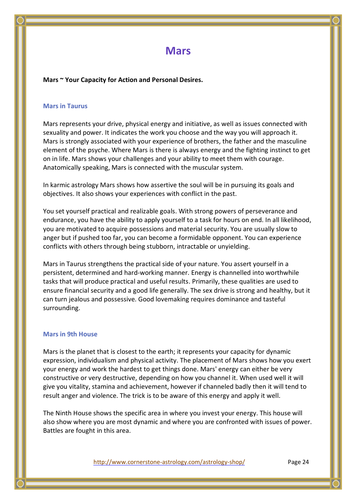## **Mars**

#### **Mars ~ Your Capacity for Action and Personal Desires.**

#### **Mars in Taurus**

Mars represents your drive, physical energy and initiative, as well as issues connected with sexuality and power. It indicates the work you choose and the way you will approach it. Mars is strongly associated with your experience of brothers, the father and the masculine element of the psyche. Where Mars is there is always energy and the fighting instinct to get on in life. Mars shows your challenges and your ability to meet them with courage. Anatomically speaking, Mars is connected with the muscular system.

In karmic astrology Mars shows how assertive the soul will be in pursuing its goals and objectives. It also shows your experiences with conflict in the past.

You set yourself practical and realizable goals. With strong powers of perseverance and endurance, you have the ability to apply yourself to a task for hours on end. In all likelihood, you are motivated to acquire possessions and material security. You are usually slow to anger but if pushed too far, you can become a formidable opponent. You can experience conflicts with others through being stubborn, intractable or unyielding.

Mars in Taurus strengthens the practical side of your nature. You assert yourself in a persistent, determined and hard-working manner. Energy is channelled into worthwhile tasks that will produce practical and useful results. Primarily, these qualities are used to ensure financial security and a good life generally. The sex drive is strong and healthy, but it can turn jealous and possessive. Good lovemaking requires dominance and tasteful surrounding.

#### **Mars in 9th House**

Mars is the planet that is closest to the earth; it represents your capacity for dynamic expression, individualism and physical activity. The placement of Mars shows how you exert your energy and work the hardest to get things done. Mars' energy can either be very constructive or very destructive, depending on how you channel it. When used well it will give you vitality, stamina and achievement, however if channeled badly then it will tend to result anger and violence. The trick is to be aware of this energy and apply it well.

The Ninth House shows the specific area in where you invest your energy. This house will also show where you are most dynamic and where you are confronted with issues of power. Battles are fought in this area.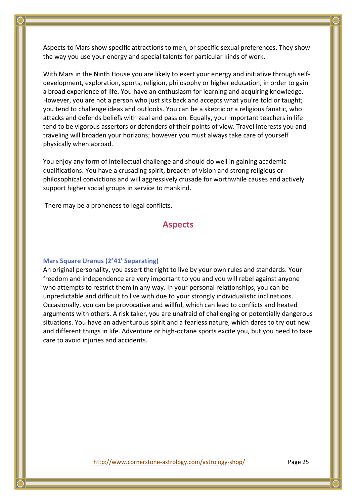Aspects to Mars show specific attractions to men, or specific sexual preferences. They show the way you use your energy and special talents for particular kinds of work.

With Mars in the Ninth House you are likely to exert your energy and initiative through selfdevelopment, exploration, sports, religion, philosophy or higher education, in order to gain a broad experience of life. You have an enthusiasm for learning and acquiring knowledge. However, you are not a person who just sits back and accepts what you're told or taught; you tend to challenge ideas and outlooks. You can be a skeptic or a religious fanatic, who attacks and defends beliefs with zeal and passion. Equally, your important teachers in life tend to be vigorous assertors or defenders of their points of view. Travel interests you and traveling will broaden your horizons; however you must always take care of yourself physically when abroad.

You enjoy any form of intellectual challenge and should do well in gaining academic qualifications. You have a crusading spirit, breadth of vision and strong religious or philosophical convictions and will aggressively crusade for worthwhile causes and actively support higher social groups in service to mankind.

There may be a proneness to legal conflicts.

### **Aspects**

#### **Mars Square Uranus (2°41' Separating)**

An original personality, you assert the right to live by your own rules and standards. Your freedom and independence are very important to you and you will rebel against anyone who attempts to restrict them in any way. In your personal relationships, you can be unpredictable and difficult to live with due to your strongly individualistic inclinations. Occasionally, you can be provocative and willful, which can lead to conflicts and heated arguments with others. A risk taker, you are unafraid of challenging or potentially dangerous situations. You have an adventurous spirit and a fearless nature, which dares to try out new and different things in life. Adventure or high-octane sports excite you, but you need to take care to avoid injuries and accidents.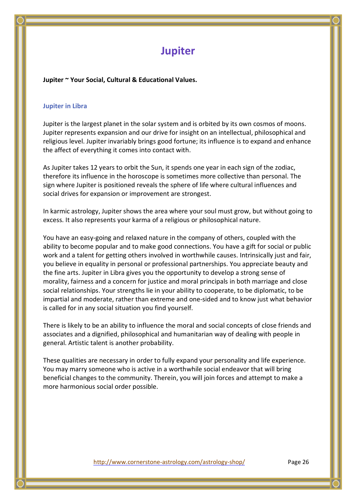## **Jupiter**

**Jupiter ~ Your Social, Cultural & Educational Values.**

#### **Jupiter in Libra**

Jupiter is the largest planet in the solar system and is orbited by its own cosmos of moons. Jupiter represents expansion and our drive for insight on an intellectual, philosophical and religious level. Jupiter invariably brings good fortune; its influence is to expand and enhance the affect of everything it comes into contact with.

As Jupiter takes 12 years to orbit the Sun, it spends one year in each sign of the zodiac, therefore its influence in the horoscope is sometimes more collective than personal. The sign where Jupiter is positioned reveals the sphere of life where cultural influences and social drives for expansion or improvement are strongest.

In karmic astrology, Jupiter shows the area where your soul must grow, but without going to excess. It also represents your karma of a religious or philosophical nature.

You have an easy-going and relaxed nature in the company of others, coupled with the ability to become popular and to make good connections. You have a gift for social or public work and a talent for getting others involved in worthwhile causes. Intrinsically just and fair, you believe in equality in personal or professional partnerships. You appreciate beauty and the fine arts. Jupiter in Libra gives you the opportunity to develop a strong sense of morality, fairness and a concern for justice and moral principals in both marriage and close social relationships. Your strengths lie in your ability to cooperate, to be diplomatic, to be impartial and moderate, rather than extreme and one-sided and to know just what behavior is called for in any social situation you find yourself.

There is likely to be an ability to influence the moral and social concepts of close friends and associates and a dignified, philosophical and humanitarian way of dealing with people in general. Artistic talent is another probability.

These qualities are necessary in order to fully expand your personality and life experience. You may marry someone who is active in a worthwhile social endeavor that will bring beneficial changes to the community. Therein, you will join forces and attempt to make a more harmonious social order possible.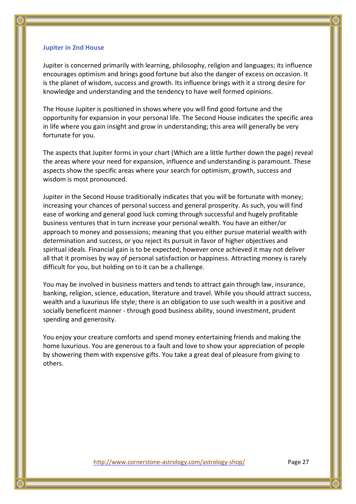#### **Jupiter in 2nd House**

Jupiter is concerned primarily with learning, philosophy, religion and languages; its influence encourages optimism and brings good fortune but also the danger of excess on occasion. It is the planet of wisdom, success and growth. Its influence brings with it a strong desire for knowledge and understanding and the tendency to have well formed opinions.

The House Jupiter is positioned in shows where you will find good fortune and the opportunity for expansion in your personal life. The Second House indicates the specific area in life where you gain insight and grow in understanding; this area will generally be very fortunate for you.

The aspects that Jupiter forms in your chart (Which are a little further down the page) reveal the areas where your need for expansion, influence and understanding is paramount. These aspects show the specific areas where your search for optimism, growth, success and wisdom is most pronounced.

Jupiter in the Second House traditionally indicates that you will be fortunate with money; increasing your chances of personal success and general prosperity. As such, you will find ease of working and general good luck coming through successful and hugely profitable business ventures that in turn increase your personal wealth. You have an either/or approach to money and possessions; meaning that you either pursue material wealth with determination and success, or you reject its pursuit in favor of higher objectives and spiritual ideals. Financial gain is to be expected; however once achieved it may not deliver all that it promises by way of personal satisfaction or happiness. Attracting money is rarely difficult for you, but holding on to it can be a challenge.

You may be involved in business matters and tends to attract gain through law, insurance, banking, religion, science, education, literature and travel. While you should attract success, wealth and a luxurious life style; there is an obligation to use such wealth in a positive and socially beneficent manner - through good business ability, sound investment, prudent spending and generosity.

You enjoy your creature comforts and spend money entertaining friends and making the home luxurious. You are generous to a fault and love to show your appreciation of people by showering them with expensive gifts. You take a great deal of pleasure from giving to others.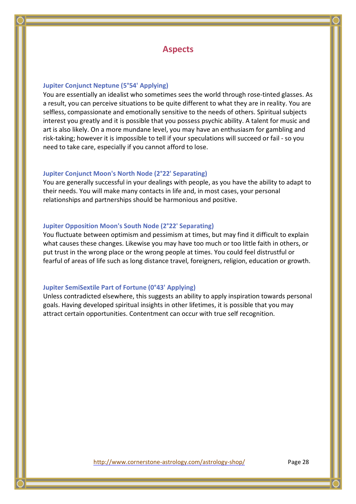### **Aspects**

#### **Jupiter Conjunct Neptune (5°54' Applying)**

You are essentially an idealist who sometimes sees the world through rose-tinted glasses. As a result, you can perceive situations to be quite different to what they are in reality. You are selfless, compassionate and emotionally sensitive to the needs of others. Spiritual subjects interest you greatly and it is possible that you possess psychic ability. A talent for music and art is also likely. On a more mundane level, you may have an enthusiasm for gambling and risk-taking; however it is impossible to tell if your speculations will succeed or fail - so you need to take care, especially if you cannot afford to lose.

#### **Jupiter Conjunct Moon's North Node (2°22' Separating)**

You are generally successful in your dealings with people, as you have the ability to adapt to their needs. You will make many contacts in life and, in most cases, your personal relationships and partnerships should be harmonious and positive.

#### **Jupiter Opposition Moon's South Node (2°22' Separating)**

You fluctuate between optimism and pessimism at times, but may find it difficult to explain what causes these changes. Likewise you may have too much or too little faith in others, or put trust in the wrong place or the wrong people at times. You could feel distrustful or fearful of areas of life such as long distance travel, foreigners, religion, education or growth.

#### **Jupiter SemiSextile Part of Fortune (0°43' Applying)**

Unless contradicted elsewhere, this suggests an ability to apply inspiration towards personal goals. Having developed spiritual insights in other lifetimes, it is possible that you may attract certain opportunities. Contentment can occur with true self recognition.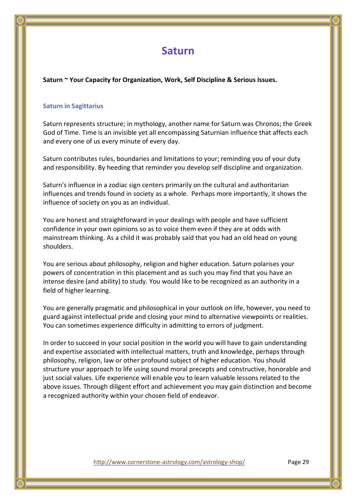## **Saturn**

**Saturn ~ Your Capacity for Organization, Work, Self Discipline & Serious Issues.**

#### **Saturn in Sagittarius**

Saturn represents structure; in mythology, another name for Saturn was Chronos; the Greek God of Time. Time is an invisible yet all encompassing Saturnian influence that affects each and every one of us every minute of every day.

Saturn contributes rules, boundaries and limitations to your; reminding you of your duty and responsibility. By heeding that reminder you develop self discipline and organization.

Saturn's influence in a zodiac sign centers primarily on the cultural and authoritarian influences and trends found in society as a whole. Perhaps more importantly, it shows the influence of society on you as an individual.

You are honest and straightforward in your dealings with people and have sufficient confidence in your own opinions so as to voice them even if they are at odds with mainstream thinking. As a child it was probably said that you had an old head on young shoulders.

You are serious about philosophy, religion and higher education. Saturn polarises your powers of concentration in this placement and as such you may find that you have an intense desire (and ability) to study. You would like to be recognized as an authority in a field of higher learning.

You are generally pragmatic and philosophical in your outlook on life, however, you need to guard against intellectual pride and closing your mind to alternative viewpoints or realities. You can sometimes experience difficulty in admitting to errors of judgment.

In order to succeed in your social position in the world you will have to gain understanding and expertise associated with intellectual matters, truth and knowledge, perhaps through philosophy, religion, law or other profound subject of higher education. You should structure your approach to life using sound moral precepts and constructive, honorable and just social values. Life experience will enable you to learn valuable lessons related to the above issues. Through diligent effort and achievement you may gain distinction and become a recognized authority within your chosen field of endeavor.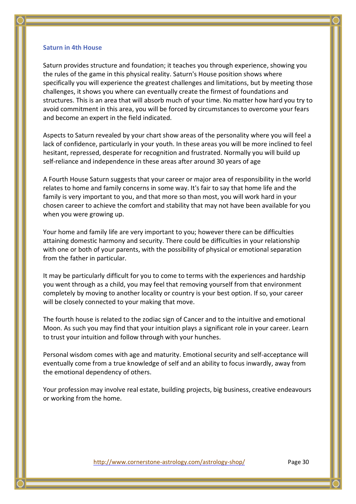#### **Saturn in 4th House**

Saturn provides structure and foundation; it teaches you through experience, showing you the rules of the game in this physical reality. Saturn's House position shows where specifically you will experience the greatest challenges and limitations, but by meeting those challenges, it shows you where can eventually create the firmest of foundations and structures. This is an area that will absorb much of your time. No matter how hard you try to avoid commitment in this area, you will be forced by circumstances to overcome your fears and become an expert in the field indicated.

Aspects to Saturn revealed by your chart show areas of the personality where you will feel a lack of confidence, particularly in your youth. In these areas you will be more inclined to feel hesitant, repressed, desperate for recognition and frustrated. Normally you will build up self-reliance and independence in these areas after around 30 years of age

A Fourth House Saturn suggests that your career or major area of responsibility in the world relates to home and family concerns in some way. It's fair to say that home life and the family is very important to you, and that more so than most, you will work hard in your chosen career to achieve the comfort and stability that may not have been available for you when you were growing up.

Your home and family life are very important to you; however there can be difficulties attaining domestic harmony and security. There could be difficulties in your relationship with one or both of your parents, with the possibility of physical or emotional separation from the father in particular.

It may be particularly difficult for you to come to terms with the experiences and hardship you went through as a child, you may feel that removing yourself from that environment completely by moving to another locality or country is your best option. If so, your career will be closely connected to your making that move.

The fourth house is related to the zodiac sign of Cancer and to the intuitive and emotional Moon. As such you may find that your intuition plays a significant role in your career. Learn to trust your intuition and follow through with your hunches.

Personal wisdom comes with age and maturity. Emotional security and self-acceptance will eventually come from a true knowledge of self and an ability to focus inwardly, away from the emotional dependency of others.

Your profession may involve real estate, building projects, big business, creative endeavours or working from the home.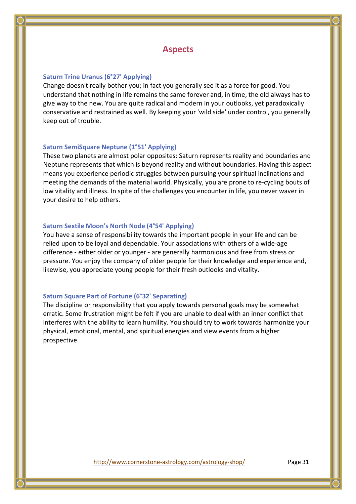### **Aspects**

#### **Saturn Trine Uranus (6°27' Applying)**

Change doesn't really bother you; in fact you generally see it as a force for good. You understand that nothing in life remains the same forever and, in time, the old always has to give way to the new. You are quite radical and modern in your outlooks, yet paradoxically conservative and restrained as well. By keeping your 'wild side' under control, you generally keep out of trouble.

#### **Saturn SemiSquare Neptune (1°51' Applying)**

These two planets are almost polar opposites: Saturn represents reality and boundaries and Neptune represents that which is beyond reality and without boundaries. Having this aspect means you experience periodic struggles between pursuing your spiritual inclinations and meeting the demands of the material world. Physically, you are prone to re-cycling bouts of low vitality and illness. In spite of the challenges you encounter in life, you never waver in your desire to help others.

#### **Saturn Sextile Moon's North Node (4°54' Applying)**

You have a sense of responsibility towards the important people in your life and can be relied upon to be loyal and dependable. Your associations with others of a wide-age difference - either older or younger - are generally harmonious and free from stress or pressure. You enjoy the company of older people for their knowledge and experience and, likewise, you appreciate young people for their fresh outlooks and vitality.

#### **Saturn Square Part of Fortune (6°32' Separating)**

The discipline or responsibility that you apply towards personal goals may be somewhat erratic. Some frustration might be felt if you are unable to deal with an inner conflict that interferes with the ability to learn humility. You should try to work towards harmonize your physical, emotional, mental, and spiritual energies and view events from a higher prospective.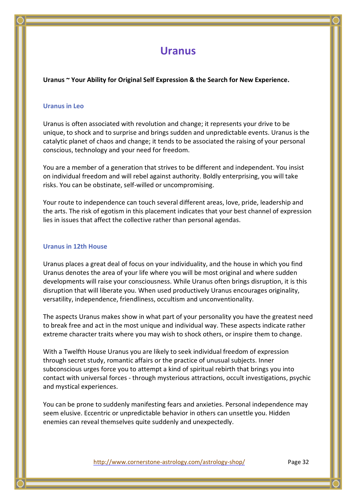## **Uranus**

**Uranus ~ Your Ability for Original Self Expression & the Search for New Experience.**

#### **Uranus in Leo**

Uranus is often associated with revolution and change; it represents your drive to be unique, to shock and to surprise and brings sudden and unpredictable events. Uranus is the catalytic planet of chaos and change; it tends to be associated the raising of your personal conscious, technology and your need for freedom.

You are a member of a generation that strives to be different and independent. You insist on individual freedom and will rebel against authority. Boldly enterprising, you will take risks. You can be obstinate, self-willed or uncompromising.

Your route to independence can touch several different areas, love, pride, leadership and the arts. The risk of egotism in this placement indicates that your best channel of expression lies in issues that affect the collective rather than personal agendas.

#### **Uranus in 12th House**

Uranus places a great deal of focus on your individuality, and the house in which you find Uranus denotes the area of your life where you will be most original and where sudden developments will raise your consciousness. While Uranus often brings disruption, it is this disruption that will liberate you. When used productively Uranus encourages originality, versatility, independence, friendliness, occultism and unconventionality.

The aspects Uranus makes show in what part of your personality you have the greatest need to break free and act in the most unique and individual way. These aspects indicate rather extreme character traits where you may wish to shock others, or inspire them to change.

With a Twelfth House Uranus you are likely to seek individual freedom of expression through secret study, romantic affairs or the practice of unusual subjects. Inner subconscious urges force you to attempt a kind of spiritual rebirth that brings you into contact with universal forces - through mysterious attractions, occult investigations, psychic and mystical experiences.

You can be prone to suddenly manifesting fears and anxieties. Personal independence may seem elusive. Eccentric or unpredictable behavior in others can unsettle you. Hidden enemies can reveal themselves quite suddenly and unexpectedly.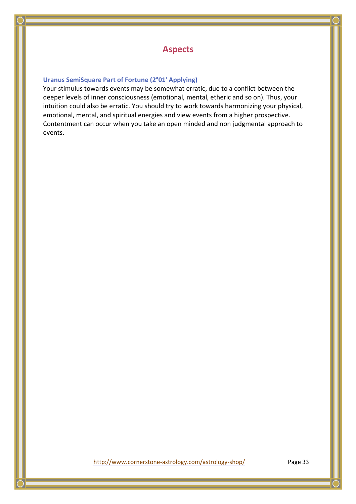### **Aspects**

#### **Uranus SemiSquare Part of Fortune (2°01' Applying)**

Your stimulus towards events may be somewhat erratic, due to a conflict between the deeper levels of inner consciousness (emotional, mental, etheric and so on). Thus, your intuition could also be erratic. You should try to work towards harmonizing your physical, emotional, mental, and spiritual energies and view events from a higher prospective. Contentment can occur when you take an open minded and non judgmental approach to events.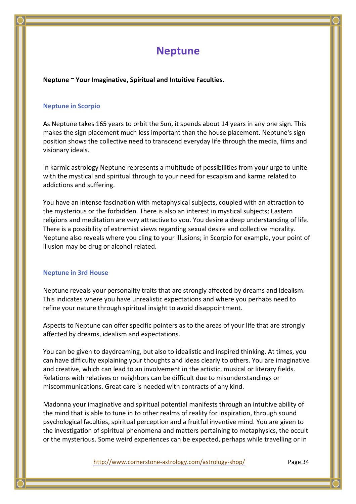## **Neptune**

**Neptune ~ Your Imaginative, Spiritual and Intuitive Faculties.**

#### **Neptune in Scorpio**

As Neptune takes 165 years to orbit the Sun, it spends about 14 years in any one sign. This makes the sign placement much less important than the house placement. Neptune's sign position shows the collective need to transcend everyday life through the media, films and visionary ideals.

In karmic astrology Neptune represents a multitude of possibilities from your urge to unite with the mystical and spiritual through to your need for escapism and karma related to addictions and suffering.

You have an intense fascination with metaphysical subjects, coupled with an attraction to the mysterious or the forbidden. There is also an interest in mystical subjects; Eastern religions and meditation are very attractive to you. You desire a deep understanding of life. There is a possibility of extremist views regarding sexual desire and collective morality. Neptune also reveals where you cling to your illusions; in Scorpio for example, your point of illusion may be drug or alcohol related.

#### **Neptune in 3rd House**

Neptune reveals your personality traits that are strongly affected by dreams and idealism. This indicates where you have unrealistic expectations and where you perhaps need to refine your nature through spiritual insight to avoid disappointment.

Aspects to Neptune can offer specific pointers as to the areas of your life that are strongly affected by dreams, idealism and expectations.

You can be given to daydreaming, but also to idealistic and inspired thinking. At times, you can have difficulty explaining your thoughts and ideas clearly to others. You are imaginative and creative, which can lead to an involvement in the artistic, musical or literary fields. Relations with relatives or neighbors can be difficult due to misunderstandings or miscommunications. Great care is needed with contracts of any kind.

Madonna your imaginative and spiritual potential manifests through an intuitive ability of the mind that is able to tune in to other realms of reality for inspiration, through sound psychological faculties, spiritual perception and a fruitful inventive mind. You are given to the investigation of spiritual phenomena and matters pertaining to metaphysics, the occult or the mysterious. Some weird experiences can be expected, perhaps while travelling or in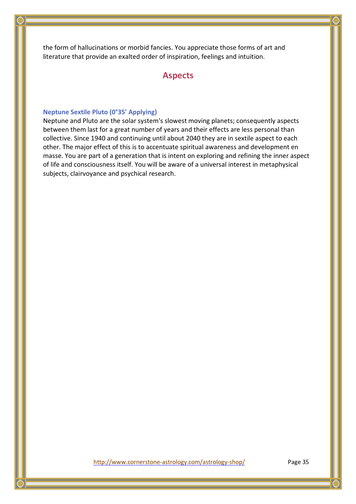the form of hallucinations or morbid fancies. You appreciate those forms of art and literature that provide an exalted order of inspiration, feelings and intuition.

### **Aspects**

#### **Neptune Sextile Pluto (0°35' Applying)**

Neptune and Pluto are the solar system's slowest moving planets; consequently aspects between them last for a great number of years and their effects are less personal than collective. Since 1940 and continuing until about 2040 they are in sextile aspect to each other. The major effect of this is to accentuate spiritual awareness and development en masse. You are part of a generation that is intent on exploring and refining the inner aspect of life and consciousness itself. You will be aware of a universal interest in metaphysical subjects, clairvoyance and psychical research.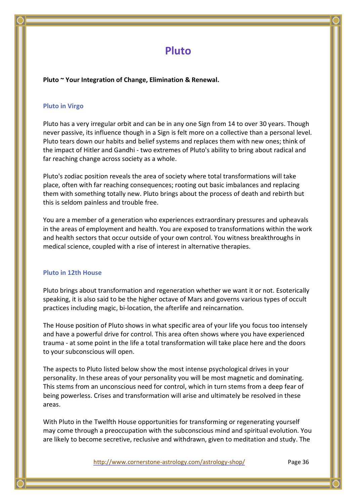## **Pluto**

**Pluto ~ Your Integration of Change, Elimination & Renewal.**

#### **Pluto in Virgo**

Pluto has a very irregular orbit and can be in any one Sign from 14 to over 30 years. Though never passive, its influence though in a Sign is felt more on a collective than a personal level. Pluto tears down our habits and belief systems and replaces them with new ones; think of the impact of Hitler and Gandhi - two extremes of Pluto's ability to bring about radical and far reaching change across society as a whole.

Pluto's zodiac position reveals the area of society where total transformations will take place, often with far reaching consequences; rooting out basic imbalances and replacing them with something totally new. Pluto brings about the process of death and rebirth but this is seldom painless and trouble free.

You are a member of a generation who experiences extraordinary pressures and upheavals in the areas of employment and health. You are exposed to transformations within the work and health sectors that occur outside of your own control. You witness breakthroughs in medical science, coupled with a rise of interest in alternative therapies.

#### **Pluto in 12th House**

Pluto brings about transformation and regeneration whether we want it or not. Esoterically speaking, it is also said to be the higher octave of Mars and governs various types of occult practices including magic, bi-location, the afterlife and reincarnation.

The House position of Pluto shows in what specific area of your life you focus too intensely and have a powerful drive for control. This area often shows where you have experienced trauma - at some point in the life a total transformation will take place here and the doors to your subconscious will open.

The aspects to Pluto listed below show the most intense psychological drives in your personality. In these areas of your personality you will be most magnetic and dominating. This stems from an unconscious need for control, which in turn stems from a deep fear of being powerless. Crises and transformation will arise and ultimately be resolved in these areas.

With Pluto in the Twelfth House opportunities for transforming or regenerating yourself may come through a preoccupation with the subconscious mind and spiritual evolution. You are likely to become secretive, reclusive and withdrawn, given to meditation and study. The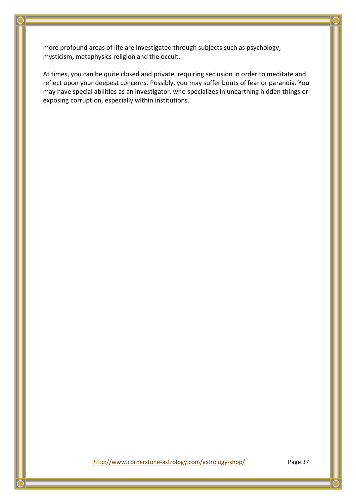more profound areas of life are investigated through subjects such as psychology, mysticism, metaphysics religion and the occult.

At times, you can be quite closed and private, requiring seclusion in order to meditate and reflect upon your deepest concerns. Possibly, you may suffer bouts of fear or paranoia. You may have special abilities as an investigator, who specializes in unearthing hidden things or exposing corruption, especially within institutions.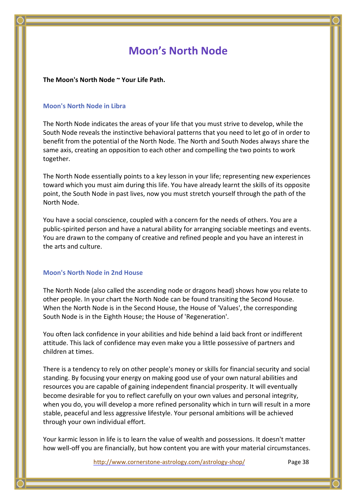## **Moon's North Node**

#### **The Moon's North Node ~ Your Life Path.**

#### **Moon's North Node in Libra**

The North Node indicates the areas of your life that you must strive to develop, while the South Node reveals the instinctive behavioral patterns that you need to let go of in order to benefit from the potential of the North Node. The North and South Nodes always share the same axis, creating an opposition to each other and compelling the two points to work together.

The North Node essentially points to a key lesson in your life; representing new experiences toward which you must aim during this life. You have already learnt the skills of its opposite point, the South Node in past lives, now you must stretch yourself through the path of the North Node.

You have a social conscience, coupled with a concern for the needs of others. You are a public-spirited person and have a natural ability for arranging sociable meetings and events. You are drawn to the company of creative and refined people and you have an interest in the arts and culture.

#### **Moon's North Node in 2nd House**

The North Node (also called the ascending node or dragons head) shows how you relate to other people. In your chart the North Node can be found transiting the Second House. When the North Node is in the Second House, the House of 'Values', the corresponding South Node is in the Eighth House; the House of 'Regeneration'.

You often lack confidence in your abilities and hide behind a laid back front or indifferent attitude. This lack of confidence may even make you a little possessive of partners and children at times.

There is a tendency to rely on other people's money or skills for financial security and social standing. By focusing your energy on making good use of your own natural abilities and resources you are capable of gaining independent financial prosperity. It will eventually become desirable for you to reflect carefully on your own values and personal integrity, when you do, you will develop a more refined personality which in turn will result in a more stable, peaceful and less aggressive lifestyle. Your personal ambitions will be achieved through your own individual effort.

Your karmic lesson in life is to learn the value of wealth and possessions. It doesn't matter how well-off you are financially, but how content you are with your material circumstances.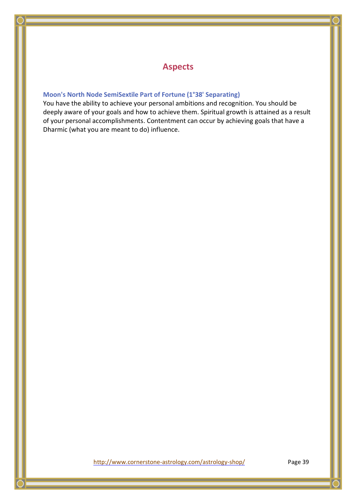## **Aspects**

#### **Moon's North Node SemiSextile Part of Fortune (1°38' Separating)**

You have the ability to achieve your personal ambitions and recognition. You should be deeply aware of your goals and how to achieve them. Spiritual growth is attained as a result of your personal accomplishments. Contentment can occur by achieving goals that have a Dharmic (what you are meant to do) influence.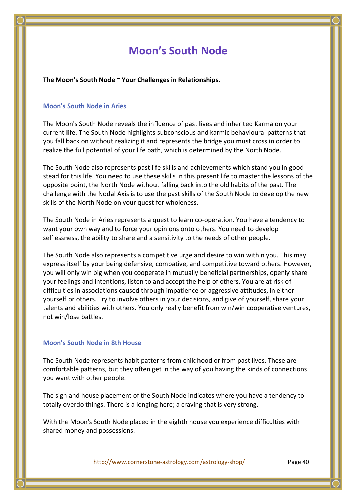## **Moon's South Node**

**The Moon's South Node ~ Your Challenges in Relationships.**

#### **Moon's South Node in Aries**

The Moon's South Node reveals the influence of past lives and inherited Karma on your current life. The South Node highlights subconscious and karmic behavioural patterns that you fall back on without realizing it and represents the bridge you must cross in order to realize the full potential of your life path, which is determined by the North Node.

The South Node also represents past life skills and achievements which stand you in good stead for this life. You need to use these skills in this present life to master the lessons of the opposite point, the North Node without falling back into the old habits of the past. The challenge with the Nodal Axis is to use the past skills of the South Node to develop the new skills of the North Node on your quest for wholeness.

The South Node in Aries represents a quest to learn co-operation. You have a tendency to want your own way and to force your opinions onto others. You need to develop selflessness, the ability to share and a sensitivity to the needs of other people.

The South Node also represents a competitive urge and desire to win within you. This may express itself by your being defensive, combative, and competitive toward others. However, you will only win big when you cooperate in mutually beneficial partnerships, openly share your feelings and intentions, listen to and accept the help of others. You are at risk of difficulties in associations caused through impatience or aggressive attitudes, in either yourself or others. Try to involve others in your decisions, and give of yourself, share your talents and abilities with others. You only really benefit from win/win cooperative ventures, not win/lose battles.

#### **Moon's South Node in 8th House**

The South Node represents habit patterns from childhood or from past lives. These are comfortable patterns, but they often get in the way of you having the kinds of connections you want with other people.

The sign and house placement of the South Node indicates where you have a tendency to totally overdo things. There is a longing here; a craving that is very strong.

With the Moon's South Node placed in the eighth house you experience difficulties with shared money and possessions.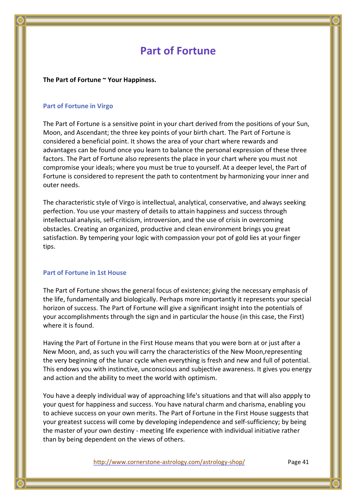## **Part of Fortune**

#### **The Part of Fortune ~ Your Happiness.**

#### **Part of Fortune in Virgo**

The Part of Fortune is a sensitive point in your chart derived from the positions of your Sun, Moon, and Ascendant; the three key points of your birth chart. The Part of Fortune is considered a beneficial point. It shows the area of your chart where rewards and advantages can be found once you learn to balance the personal expression of these three factors. The Part of Fortune also represents the place in your chart where you must not compromise your ideals; where you must be true to yourself. At a deeper level, the Part of Fortune is considered to represent the path to contentment by harmonizing your inner and outer needs.

The characteristic style of Virgo is intellectual, analytical, conservative, and always seeking perfection. You use your mastery of details to attain happiness and success through intellectual analysis, self-criticism, introversion, and the use of crisis in overcoming obstacles. Creating an organized, productive and clean environment brings you great satisfaction. By tempering your logic with compassion your pot of gold lies at your finger tips.

#### **Part of Fortune in 1st House**

The Part of Fortune shows the general focus of existence; giving the necessary emphasis of the life, fundamentally and biologically. Perhaps more importantly it represents your special horizon of success. The Part of Fortune will give a significant insight into the potentials of your accomplishments through the sign and in particular the house (in this case, the First) where it is found.

Having the Part of Fortune in the First House means that you were born at or just after a New Moon, and, as such you will carry the characteristics of the New Moon,representing the very beginning of the lunar cycle when everything is fresh and new and full of potential. This endows you with instinctive, unconscious and subjective awareness. It gives you energy and action and the ability to meet the world with optimism.

You have a deeply individual way of approaching life's situations and that will also appply to your quest for happiness and success. You have natural charm and charisma, enabling you to achieve success on your own merits. The Part of Fortune in the First House suggests that your greatest success will come by developing independence and self-sufficiency; by being the master of your own destiny - meeting life experience with individual initiative rather than by being dependent on the views of others.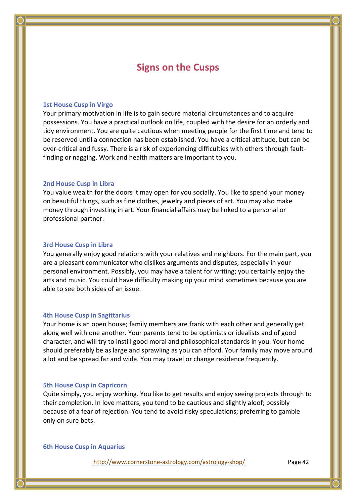## **Signs on the Cusps**

#### **1st House Cusp in Virgo**

Your primary motivation in life is to gain secure material circumstances and to acquire possessions. You have a practical outlook on life, coupled with the desire for an orderly and tidy environment. You are quite cautious when meeting people for the first time and tend to be reserved until a connection has been established. You have a critical attitude, but can be over-critical and fussy. There is a risk of experiencing difficulties with others through faultfinding or nagging. Work and health matters are important to you.

#### **2nd House Cusp in Libra**

You value wealth for the doors it may open for you socially. You like to spend your money on beautiful things, such as fine clothes, jewelry and pieces of art. You may also make money through investing in art. Your financial affairs may be linked to a personal or professional partner.

#### **3rd House Cusp in Libra**

You generally enjoy good relations with your relatives and neighbors. For the main part, you are a pleasant communicator who dislikes arguments and disputes, especially in your personal environment. Possibly, you may have a talent for writing; you certainly enjoy the arts and music. You could have difficulty making up your mind sometimes because you are able to see both sides of an issue.

#### **4th House Cusp in Sagittarius**

Your home is an open house; family members are frank with each other and generally get along well with one another. Your parents tend to be optimists or idealists and of good character, and will try to instill good moral and philosophical standards in you. Your home should preferably be as large and sprawling as you can afford. Your family may move around a lot and be spread far and wide. You may travel or change residence frequently.

#### **5th House Cusp in Capricorn**

Quite simply, you enjoy working. You like to get results and enjoy seeing projects through to their completion. In love matters, you tend to be cautious and slightly aloof; possibly because of a fear of rejection. You tend to avoid risky speculations; preferring to gamble only on sure bets.

**6th House Cusp in Aquarius**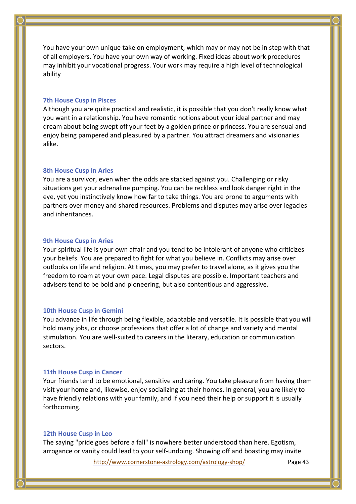You have your own unique take on employment, which may or may not be in step with that of all employers. You have your own way of working. Fixed ideas about work procedures may inhibit your vocational progress. Your work may require a high level of technological ability

#### **7th House Cusp in Pisces**

Although you are quite practical and realistic, it is possible that you don't really know what you want in a relationship. You have romantic notions about your ideal partner and may dream about being swept off your feet by a golden prince or princess. You are sensual and enjoy being pampered and pleasured by a partner. You attract dreamers and visionaries alike.

#### **8th House Cusp in Aries**

You are a survivor, even when the odds are stacked against you. Challenging or risky situations get your adrenaline pumping. You can be reckless and look danger right in the eye, yet you instinctively know how far to take things. You are prone to arguments with partners over money and shared resources. Problems and disputes may arise over legacies and inheritances.

#### **9th House Cusp in Aries**

Your spiritual life is your own affair and you tend to be intolerant of anyone who criticizes your beliefs. You are prepared to fight for what you believe in. Conflicts may arise over outlooks on life and religion. At times, you may prefer to travel alone, as it gives you the freedom to roam at your own pace. Legal disputes are possible. Important teachers and advisers tend to be bold and pioneering, but also contentious and aggressive.

#### **10th House Cusp in Gemini**

You advance in life through being flexible, adaptable and versatile. It is possible that you will hold many jobs, or choose professions that offer a lot of change and variety and mental stimulation. You are well-suited to careers in the literary, education or communication sectors.

#### **11th House Cusp in Cancer**

Your friends tend to be emotional, sensitive and caring. You take pleasure from having them visit your home and, likewise, enjoy socializing at their homes. In general, you are likely to have friendly relations with your family, and if you need their help or support it is usually forthcoming.

#### **12th House Cusp in Leo**

The saying "pride goes before a fall" is nowhere better understood than here. Egotism, arrogance or vanity could lead to your self-undoing. Showing off and boasting may invite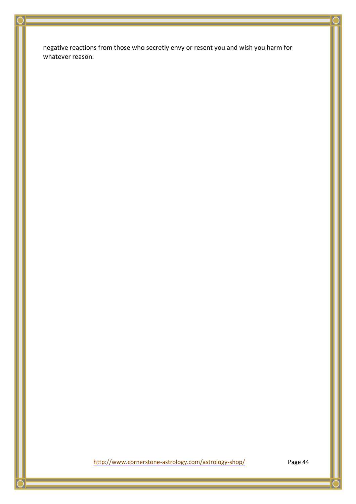negative reactions from those who secretly envy or resent you and wish you harm for whatever reason.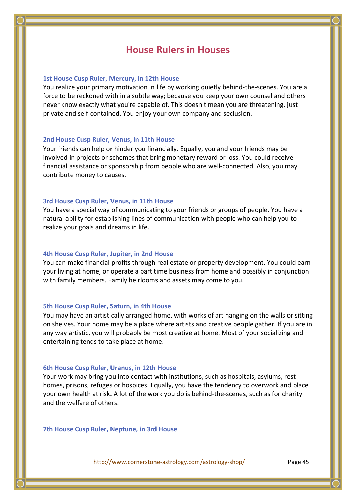## **House Rulers in Houses**

#### **1st House Cusp Ruler, Mercury, in 12th House**

You realize your primary motivation in life by working quietly behind-the-scenes. You are a force to be reckoned with in a subtle way; because you keep your own counsel and others never know exactly what you're capable of. This doesn't mean you are threatening, just private and self-contained. You enjoy your own company and seclusion.

#### **2nd House Cusp Ruler, Venus, in 11th House**

Your friends can help or hinder you financially. Equally, you and your friends may be involved in projects or schemes that bring monetary reward or loss. You could receive financial assistance or sponsorship from people who are well-connected. Also, you may contribute money to causes.

#### **3rd House Cusp Ruler, Venus, in 11th House**

You have a special way of communicating to your friends or groups of people. You have a natural ability for establishing lines of communication with people who can help you to realize your goals and dreams in life.

#### **4th House Cusp Ruler, Jupiter, in 2nd House**

You can make financial profits through real estate or property development. You could earn your living at home, or operate a part time business from home and possibly in conjunction with family members. Family heirlooms and assets may come to you.

#### **5th House Cusp Ruler, Saturn, in 4th House**

You may have an artistically arranged home, with works of art hanging on the walls or sitting on shelves. Your home may be a place where artists and creative people gather. If you are in any way artistic, you will probably be most creative at home. Most of your socializing and entertaining tends to take place at home.

#### **6th House Cusp Ruler, Uranus, in 12th House**

Your work may bring you into contact with institutions, such as hospitals, asylums, rest homes, prisons, refuges or hospices. Equally, you have the tendency to overwork and place your own health at risk. A lot of the work you do is behind-the-scenes, such as for charity and the welfare of others.

**7th House Cusp Ruler, Neptune, in 3rd House**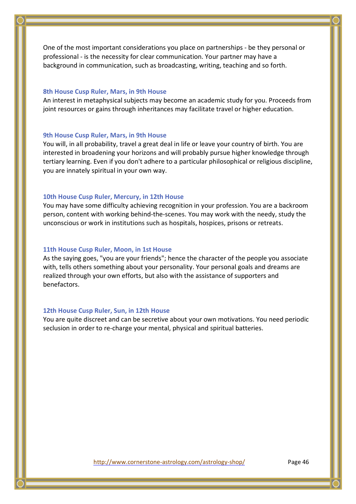One of the most important considerations you place on partnerships - be they personal or professional - is the necessity for clear communication. Your partner may have a background in communication, such as broadcasting, writing, teaching and so forth.

#### **8th House Cusp Ruler, Mars, in 9th House**

An interest in metaphysical subjects may become an academic study for you. Proceeds from joint resources or gains through inheritances may facilitate travel or higher education.

#### **9th House Cusp Ruler, Mars, in 9th House**

You will, in all probability, travel a great deal in life or leave your country of birth. You are interested in broadening your horizons and will probably pursue higher knowledge through tertiary learning. Even if you don't adhere to a particular philosophical or religious discipline, you are innately spiritual in your own way.

#### **10th House Cusp Ruler, Mercury, in 12th House**

You may have some difficulty achieving recognition in your profession. You are a backroom person, content with working behind-the-scenes. You may work with the needy, study the unconscious or work in institutions such as hospitals, hospices, prisons or retreats.

#### **11th House Cusp Ruler, Moon, in 1st House**

As the saying goes, "you are your friends"; hence the character of the people you associate with, tells others something about your personality. Your personal goals and dreams are realized through your own efforts, but also with the assistance of supporters and benefactors.

#### **12th House Cusp Ruler, Sun, in 12th House**

You are quite discreet and can be secretive about your own motivations. You need periodic seclusion in order to re-charge your mental, physical and spiritual batteries.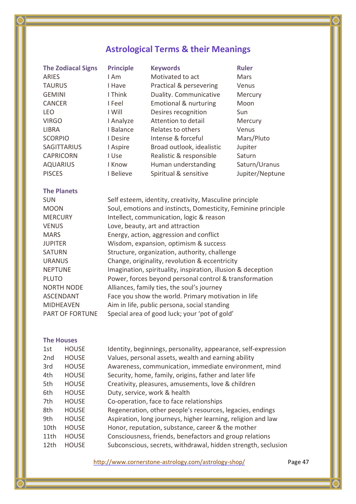## **Astrological Terms & their Meanings**

| <b>The Zodiacal Signs</b> | <b>Principle</b> | <b>Keywords</b>                                     | <b>Ruler</b>    |
|---------------------------|------------------|-----------------------------------------------------|-----------------|
| ARIES                     | l Am             | Motivated to act                                    | Mars            |
| <b>TAURUS</b>             | I Have           | Practical & persevering                             | Venus           |
| <b>GEMINI</b>             | I Think          | Duality. Communicative                              | Mercury         |
| <b>CANCER</b>             | I Feel           | Emotional & nurturing                               | Moon            |
| <b>LEO</b>                | I Will           | Desires recognition                                 | Sun             |
| <b>VIRGO</b>              | I Analyze        | Attention to detail                                 | Mercury         |
| <b>LIBRA</b>              | I Balance        | Relates to others                                   | <b>Venus</b>    |
| <b>SCORPIO</b>            | I Desire         | Intense & forceful                                  | Mars/Pluto      |
| <b>SAGITTARIUS</b>        | I Aspire         | Broad outlook, idealistic                           | Jupiter         |
| <b>CAPRICORN</b>          | I Use            | Realistic & responsible                             | Saturn          |
| <b>AQUARIUS</b>           | I Know           | Human understanding                                 | Saturn/Uranus   |
| <b>PISCES</b>             | I Believe        | Spiritual & sensitive                               | Jupiter/Neptune |
| <b>The Planets</b>        |                  |                                                     |                 |
| <b>CLINE</b>              |                  | Colf octoom identity croativity Masculing principle |                 |

| <b>SUN</b>             | Self esteem, identity, creativity, Masculine principle        |
|------------------------|---------------------------------------------------------------|
| <b>MOON</b>            | Soul, emotions and instincts, Domesticity, Feminine principle |
| <b>MERCURY</b>         | Intellect, communication, logic & reason                      |
| <b>VENUS</b>           | Love, beauty, art and attraction                              |
| <b>MARS</b>            | Energy, action, aggression and conflict                       |
| <b>JUPITER</b>         | Wisdom, expansion, optimism & success                         |
| <b>SATURN</b>          | Structure, organization, authority, challenge                 |
| <b>URANUS</b>          | Change, originality, revolution & eccentricity                |
| <b>NEPTUNE</b>         | Imagination, spirituality, inspiration, illusion & deception  |
| <b>PLUTO</b>           | Power, forces beyond personal control & transformation        |
| <b>NORTH NODE</b>      | Alliances, family ties, the soul's journey                    |
| <b>ASCENDANT</b>       | Face you show the world. Primary motivation in life           |
| <b>MIDHEAVEN</b>       | Aim in life, public persona, social standing                  |
| <b>PART OF FORTUNE</b> | Special area of good luck; your 'pot of gold'                 |

#### **The Houses**

| 1st             | <b>HOUSE</b> | Identity, beginnings, personality, appearance, self-expression |
|-----------------|--------------|----------------------------------------------------------------|
| 2 <sub>nd</sub> | <b>HOUSE</b> | Values, personal assets, wealth and earning ability            |
| 3rd             | <b>HOUSE</b> | Awareness, communication, immediate environment, mind          |
| 4th             | <b>HOUSE</b> | Security, home, family, origins, father and later life         |
| 5th             | <b>HOUSE</b> | Creativity, pleasures, amusements, love & children             |
| 6th             | <b>HOUSE</b> | Duty, service, work & health                                   |
| 7th             | <b>HOUSE</b> | Co-operation, face to face relationships                       |
| 8th             | <b>HOUSE</b> | Regeneration, other people's resources, legacies, endings      |
| 9th             | <b>HOUSE</b> | Aspiration, long journeys, higher learning, religion and law   |
| 10th            | <b>HOUSE</b> | Honor, reputation, substance, career & the mother              |
| 11th            | <b>HOUSE</b> | Consciousness, friends, benefactors and group relations        |
| 12th            | <b>HOUSE</b> | Subconscious, secrets, withdrawal, hidden strength, seclusion  |